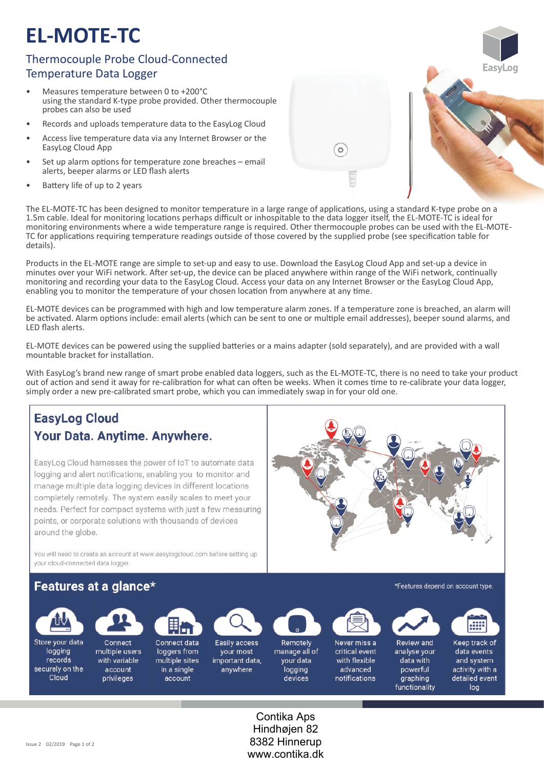# **EL-MOTE-TC**

### Thermocouple Probe Cloud-Connected Temperature Data Logger

- Measures temperature between 0 to +200°C using the standard K-type probe provided. Other thermocouple probes can also be used
- Records and uploads temperature data to the EasyLog Cloud
- Access live temperature data via any Internet Browser or the EasyLog Cloud App
- Set up alarm options for temperature zone breaches email alerts, beeper alarms or LED flash alerts
- Battery life of up to 2 years

The EL-MOTE-TC has been designed to monitor temperature in a large range of applications, using a standard K-type probe on a 1.5m cable. Ideal for monitoring locations perhaps difficult or inhospitable to the data logger itself, the EL-MOTE-TC is ideal for monitoring environments where a wide temperature range is required. Other thermocouple probes can be used with the EL-MOTE-TC for applications requiring temperature readings outside of those covered by the supplied probe (see specification table for details).

 $\circ$ 

Products in the EL-MOTE range are simple to set-up and easy to use. Download the EasyLog Cloud App and set-up a device in minutes over your WiFi network. After set-up, the device can be placed anywhere within range of the WiFi network, continually monitoring and recording your data to the EasyLog Cloud. Access your data on any Internet Browser or the EasyLog Cloud App, enabling you to monitor the temperature of your chosen location from anywhere at any time.

EL‐MOTE devices can be programmed with high and low temperature alarm zones. If a temperature zone is breached, an alarm will be activated. Alarm options include: email alerts (which can be sent to one or multiple email addresses), beeper sound alarms, and LED flash alerts.

EL‐MOTE devices can be powered using the supplied ba�eries or a mains adapter (sold separately), and are provided with a wall mountable bracket for installation.

With EasyLog's brand new range of smart probe enabled data loggers, such as the EL-MOTE-TC, there is no need to take your product out of action and send it away for re-calibration for what can often be weeks. When it comes time to re-calibrate your data logger, simply order a new pre-calibrated smart probe, which you can immediately swap in for your old one.

## **EasyLog Cloud** Your Data. Anytime. Anywhere.

EasyLog Cloud harnesses the power of IoT to automate data logging and alert notifications, enabling you to monitor and manage multiple data logging devices in different locations completely remotely. The system easily scales to meet your needs. Perfect for compact systems with just a few measuring points, or corporate solutions with thousands of devices around the globe.

You will need to create an account at www.easylogcloud.com before setting up your cloud-connected data logger.

### Features at a glance\*



Store your data logging records securely on the Cloud



Connect multiple users with variable account privileges



account

Connect data Easily access loggers from your most multiple sites important data, in a single anywhere



Remotely manage all of your data logging devices



Never miss a critical event with flexible advanced notifications



Review and analyse your data with powerful graphing functionality



\*Features depend on account type.

Keep track of data events and system activity with a detailed event log

Contika Aps Hindhøjen 82 8382 Hinnerup www.contika.dk